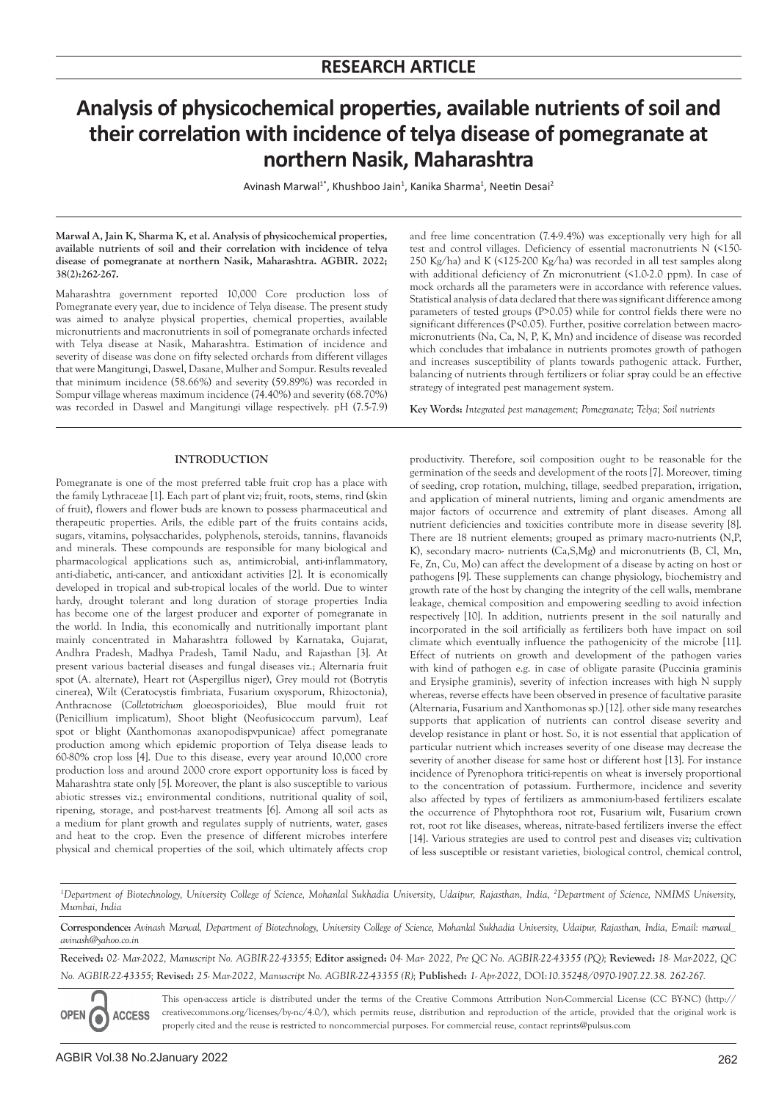# **Analysis of physicochemical properties, available nutrients of soil and their correlation with incidence of telya disease of pomegranate at northern Nasik, Maharashtra**

Avinash Marwal<sup>1\*</sup>, Khushboo Jain<sup>1</sup>, Kanika Sharma<sup>1</sup>, Neetin Desai<sup>2</sup>

**Marwal A, Jain K, Sharma K, et al. Analysis of physicochemical properties, available nutrients of soil and their correlation with incidence of telya disease of pomegranate at northern Nasik, Maharashtra. AGBIR. 2022; 38(2):262-267.**

Maharashtra government reported 10,000 Core production loss of Pomegranate every year, due to incidence of Telya disease. The present study was aimed to analyze physical properties, chemical properties, available micronutrients and macronutrients in soil of pomegranate orchards infected with Telya disease at Nasik, Maharashtra. Estimation of incidence and severity of disease was done on fifty selected orchards from different villages that were Mangitungi, Daswel, Dasane, Mulher and Sompur. Results revealed that minimum incidence (58.66%) and severity (59.89%) was recorded in Sompur village whereas maximum incidence (74.40%) and severity (68.70%) was recorded in Daswel and Mangitungi village respectively. pH (7.5-7.9)

# **INTRODUCTION**

Pomegranate is one of the most preferred table fruit crop has a place with the family Lythraceae [1]. Each part of plant viz; fruit, roots, stems, rind (skin of fruit), flowers and flower buds are known to possess pharmaceutical and therapeutic properties. Arils, the edible part of the fruits contains acids, sugars, vitamins, polysaccharides, polyphenols, steroids, tannins, flavanoids and minerals. These compounds are responsible for many biological and pharmacological applications such as, antimicrobial, anti-inflammatory, anti-diabetic, anti-cancer, and antioxidant activities [2]. It is economically developed in tropical and sub-tropical locales of the world. Due to winter hardy, drought tolerant and long duration of storage properties India has become one of the largest producer and exporter of pomegranate in the world. In India, this economically and nutritionally important plant mainly concentrated in Maharashtra followed by Karnataka, Gujarat, Andhra Pradesh, Madhya Pradesh, Tamil Nadu, and Rajasthan [3]. At present various bacterial diseases and fungal diseases viz.; Alternaria fruit spot (A. alternate), Heart rot (Aspergillus niger), Grey mould rot (Botrytis cinerea), Wilt (Ceratocystis fimbriata, Fusarium oxysporum, Rhizoctonia), Anthracnose (*Colletotrichum* gloeosporioides), Blue mould fruit rot (Penicillium implicatum), Shoot blight (Neofusicoccum parvum), Leaf spot or blight (Xanthomonas axanopodispvpunicae) affect pomegranate production among which epidemic proportion of Telya disease leads to 60-80% crop loss [4]. Due to this disease, every year around 10,000 crore production loss and around 2000 crore export opportunity loss is faced by Maharashtra state only [5]. Moreover, the plant is also susceptible to various abiotic stresses viz.; environmental conditions, nutritional quality of soil, ripening, storage, and post-harvest treatments [6]. Among all soil acts as a medium for plant growth and regulates supply of nutrients, water, gases and heat to the crop. Even the presence of different microbes interfere physical and chemical properties of the soil, which ultimately affects crop

and free lime concentration (7.4-9.4%) was exceptionally very high for all test and control villages. Deficiency of essential macronutrients N (<150- 250 Kg/ha) and K (<125-200 Kg/ha) was recorded in all test samples along with additional deficiency of Zn micronutrient (<1.0-2.0 ppm). In case of mock orchards all the parameters were in accordance with reference values. Statistical analysis of data declared that there was significant difference among parameters of tested groups (P>0.05) while for control fields there were no significant differences (P<0.05). Further, positive correlation between macromicronutrients (Na, Ca, N, P, K, Mn) and incidence of disease was recorded which concludes that imbalance in nutrients promotes growth of pathogen and increases susceptibility of plants towards pathogenic attack. Further, balancing of nutrients through fertilizers or foliar spray could be an effective strategy of integrated pest management system.

**Key Words:** *Integrated pest management; Pomegranate; Telya; Soil nutrients*

productivity. Therefore, soil composition ought to be reasonable for the germination of the seeds and development of the roots [7]. Moreover, timing of seeding, crop rotation, mulching, tillage, seedbed preparation, irrigation, and application of mineral nutrients, liming and organic amendments are major factors of occurrence and extremity of plant diseases. Among all nutrient deficiencies and toxicities contribute more in disease severity [8]. There are 18 nutrient elements; grouped as primary macro-nutrients (N,P, K), secondary macro- nutrients (Ca,S,Mg) and micronutrients (B, Cl, Mn, Fe, Zn, Cu, Mo) can affect the development of a disease by acting on host or pathogens [9]. These supplements can change physiology, biochemistry and growth rate of the host by changing the integrity of the cell walls, membrane leakage, chemical composition and empowering seedling to avoid infection respectively [10]. In addition, nutrients present in the soil naturally and incorporated in the soil artificially as fertilizers both have impact on soil climate which eventually influence the pathogenicity of the microbe [11]. Effect of nutrients on growth and development of the pathogen varies with kind of pathogen e.g. in case of obligate parasite (Puccinia graminis and Erysiphe graminis), severity of infection increases with high N supply whereas, reverse effects have been observed in presence of facultative parasite (Alternaria, Fusarium and Xanthomonas sp.) [12]. other side many researches supports that application of nutrients can control disease severity and develop resistance in plant or host. So, it is not essential that application of particular nutrient which increases severity of one disease may decrease the severity of another disease for same host or different host [13]. For instance incidence of Pyrenophora tritici-repentis on wheat is inversely proportional to the concentration of potassium. Furthermore, incidence and severity also affected by types of fertilizers as ammonium-based fertilizers escalate the occurrence of Phytophthora root rot, Fusarium wilt, Fusarium crown rot, root rot like diseases, whereas, nitrate-based fertilizers inverse the effect [14]. Various strategies are used to control pest and diseases viz; cultivation of less susceptible or resistant varieties, biological control, chemical control,

*1 Department of Biotechnology, University College of Science, Mohanlal Sukhadia University, Udaipur, Rajasthan, India, 2 Department of Science, NMIMS University, Mumbai, India*

**Correspondence:** *Avinash Marwal, Department of Biotechnology, University College of Science, Mohanlal Sukhadia University, Udaipur, Rajasthan, India, E-mail: marwal\_ avinash@yahoo.co.in*

**Received:** *02- Mar-2022, Manuscript No. AGBIR-22-43355;* **Editor assigned:** *04- Mar- 2022, Pre QC No. AGBIR-22-43355 (PQ);* **Reviewed:** *18- Mar-2022, QC No. AGBIR-22-43355;* **Revised:** *25- Mar-2022, Manuscript No. AGBIR-22-43355 (R);* **Published:** *1- Apr-2022,* DOI:*10.35248/0970-1907.22.38. 262-267.*

**OPEN ACCESS** Ó

This open-access article is distributed under the terms of the Creative Commons Attribution Non-Commercial License (CC BY-NC) (http:// creativecommons.org/licenses/by-nc/4.0/), which permits reuse, distribution and reproduction of the article, provided that the original work is properly cited and the reuse is restricted to noncommercial purposes. For commercial reuse, contact reprints@pulsus.com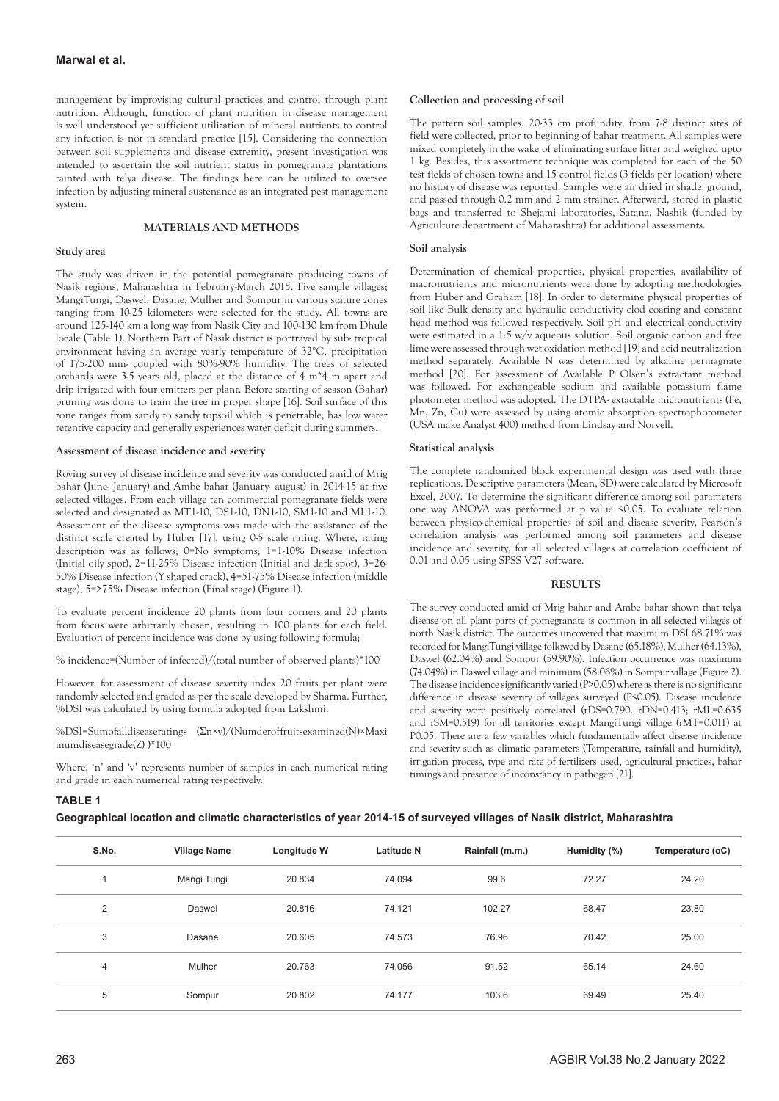management by improvising cultural practices and control through plant nutrition. Although, function of plant nutrition in disease management is well understood yet sufficient utilization of mineral nutrients to control any infection is not in standard practice [15]. Considering the connection between soil supplements and disease extremity, present investigation was intended to ascertain the soil nutrient status in pomegranate plantations tainted with telya disease. The findings here can be utilized to oversee infection by adjusting mineral sustenance as an integrated pest management system.

# **MATERIALS AND METHODS**

## **Study area**

The study was driven in the potential pomegranate producing towns of Nasik regions, Maharashtra in February-March 2015. Five sample villages; MangiTungi, Daswel, Dasane, Mulher and Sompur in various stature zones ranging from 10-25 kilometers were selected for the study. All towns are around 125-140 km a long way from Nasik City and 100-130 km from Dhule locale (Table 1). Northern Part of Nasik district is portrayed by sub- tropical environment having an average yearly temperature of 32°C, precipitation of 175-200 mm- coupled with 80%-90% humidity. The trees of selected orchards were 3-5 years old, placed at the distance of 4 m\*4 m apart and drip irrigated with four emitters per plant. Before starting of season (Bahar) pruning was done to train the tree in proper shape [16]. Soil surface of this zone ranges from sandy to sandy topsoil which is penetrable, has low water retentive capacity and generally experiences water deficit during summers.

## **Assessment of disease incidence and severity**

Roving survey of disease incidence and severity was conducted amid of Mrig bahar (June- January) and Ambe bahar (January- august) in 2014-15 at five selected villages. From each village ten commercial pomegranate fields were selected and designated as MT1-10, DS1-10, DN1-10, SM1-10 and ML1-10. Assessment of the disease symptoms was made with the assistance of the distinct scale created by Huber [17], using 0-5 scale rating. Where, rating description was as follows; 0=No symptoms; 1=1-10% Disease infection (Initial oily spot), 2=11-25% Disease infection (Initial and dark spot), 3=26- 50% Disease infection (Y shaped crack), 4=51-75% Disease infection (middle stage), 5=>75% Disease infection (Final stage) (Figure 1).

To evaluate percent incidence 20 plants from four corners and 20 plants from focus were arbitrarily chosen, resulting in 100 plants for each field. Evaluation of percent incidence was done by using following formula;

% incidence=(Number of infected)/(total number of observed plants)\*100

However, for assessment of disease severity index 20 fruits per plant were randomly selected and graded as per the scale developed by Sharma. Further, %DSI was calculated by using formula adopted from Lakshmi.

%DSI=Sumofalldiseaseratings (Σn×v)/(Numderoffruitsexamined(N)×Maxi mumdiseasegrade(Z) )\*100

Where, 'n' and 'v' represents number of samples in each numerical rating and grade in each numerical rating respectively.

## **Collection and processing of soil**

The pattern soil samples, 20-33 cm profundity, from 7-8 distinct sites of field were collected, prior to beginning of bahar treatment. All samples were mixed completely in the wake of eliminating surface litter and weighed upto 1 kg. Besides, this assortment technique was completed for each of the 50 test fields of chosen towns and 15 control fields (3 fields per location) where no history of disease was reported. Samples were air dried in shade, ground, and passed through 0.2 mm and 2 mm strainer. Afterward, stored in plastic bags and transferred to Shejami laboratories, Satana, Nashik (funded by Agriculture department of Maharashtra) for additional assessments.

#### **Soil analysis**

Determination of chemical properties, physical properties, availability of macronutrients and micronutrients were done by adopting methodologies from Huber and Graham [18]. In order to determine physical properties of soil like Bulk density and hydraulic conductivity clod coating and constant head method was followed respectively. Soil pH and electrical conductivity were estimated in a 1:5 w/v aqueous solution. Soil organic carbon and free lime were assessed through wet oxidation method [19] and acid neutralization method separately. Available N was determined by alkaline permagnate method [20]. For assessment of Available P Olsen's extractant method was followed. For exchangeable sodium and available potassium flame photometer method was adopted. The DTPA- extactable micronutrients (Fe, Mn, Zn, Cu) were assessed by using atomic absorption spectrophotometer (USA make Analyst 400) method from Lindsay and Norvell.

#### **Statistical analysis**

The complete randomized block experimental design was used with three replications. Descriptive parameters (Mean, SD) were calculated by Microsoft Excel, 2007. To determine the significant difference among soil parameters one way ANOVA was performed at p value <0.05. To evaluate relation between physico-chemical properties of soil and disease severity, Pearson's correlation analysis was performed among soil parameters and disease incidence and severity, for all selected villages at correlation coefficient of 0.01 and 0.05 using SPSS V27 software.

## **RESULTS**

The survey conducted amid of Mrig bahar and Ambe bahar shown that telya disease on all plant parts of pomegranate is common in all selected villages of north Nasik district. The outcomes uncovered that maximum DSI 68.71% was recorded for MangiTungi village followed by Dasane (65.18%), Mulher (64.13%), Daswel (62.04%) and Sompur (59.90%). Infection occurrence was maximum (74.04%) in Daswel village and minimum (58.06%) in Sompur village (Figure 2). The disease incidence significantly varied (P>0.05) where as there is no significant difference in disease severity of villages surveyed (P<0.05). Disease incidence and severity were positively correlated (rDS=0.790. rDN=0.413; rML=0.635 and rSM=0.519) for all territories except MangiTungi village (rMT=0.011) at P0.05. There are a few variables which fundamentally affect disease incidence and severity such as climatic parameters (Temperature, rainfall and humidity), irrigation process, type and rate of fertilizers used, agricultural practices, bahar timings and presence of inconstancy in pathogen [21].

# **TABLE 1**

**Geographical location and climatic characteristics of year 2014-15 of surveyed villages of Nasik district, Maharashtra** 

| S.No.          | <b>Village Name</b> | Longitude W | <b>Latitude N</b> | Rainfall (m.m.) | Humidity (%) | Temperature (oC) |
|----------------|---------------------|-------------|-------------------|-----------------|--------------|------------------|
|                | Mangi Tungi         | 20.834      | 74.094            | 99.6            | 72.27        | 24.20            |
| 2              | Daswel              | 20.816      | 74.121            | 102.27          | 68.47        | 23.80            |
| 3              | Dasane              | 20.605      | 74.573            | 76.96           | 70.42        | 25.00            |
| $\overline{4}$ | Mulher              | 20.763      | 74.056            | 91.52           | 65.14        | 24.60            |
| 5              | Sompur              | 20.802      | 74.177            | 103.6           | 69.49        | 25.40            |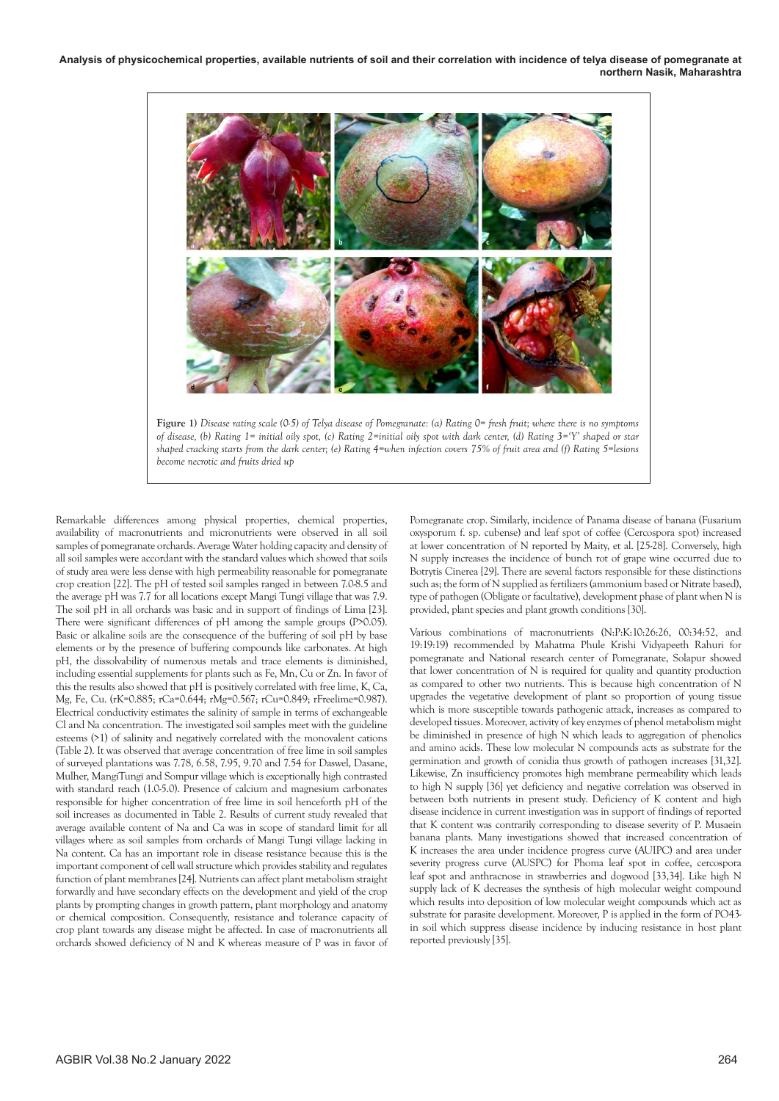

**Figure 1)** *Disease rating scale (0-5) of Telya disease of Pomegranate: (a) Rating 0= fresh fruit; where there is no symptoms of disease, (b) Rating 1= initial oily spot, (c) Rating 2=initial oily spot with dark center, (d) Rating 3='Y' shaped or star shaped cracking starts from the dark center; (e) Rating 4=when infection covers 75% of fruit area and (f) Rating 5=lesions become necrotic and fruits dried up*

Remarkable differences among physical properties, chemical properties, availability of macronutrients and micronutrients were observed in all soil samples of pomegranate orchards. Average Water holding capacity and density of all soil samples were accordant with the standard values which showed that soils of study area were less dense with high permeability reasonable for pomegranate crop creation [22]. The pH of tested soil samples ranged in between 7.0-8.5 and the average pH was 7.7 for all locations except Mangi Tungi village that was 7.9. The soil pH in all orchards was basic and in support of findings of Lima [23]. There were significant differences of pH among the sample groups (P>0.05). Basic or alkaline soils are the consequence of the buffering of soil pH by base elements or by the presence of buffering compounds like carbonates. At high pH, the dissolvability of numerous metals and trace elements is diminished, including essential supplements for plants such as Fe, Mn, Cu or Zn. In favor of this the results also showed that pH is positively correlated with free lime, K, Ca, Mg, Fe, Cu. (rK=0.885; rCa=0.644; rMg=0.567; rCu=0.849; rFreelime=0.987). Electrical conductivity estimates the salinity of sample in terms of exchangeable Cl and Na concentration. The investigated soil samples meet with the guideline esteems (>1) of salinity and negatively correlated with the monovalent cations (Table 2). It was observed that average concentration of free lime in soil samples of surveyed plantations was 7.78, 6.58, 7.95, 9.70 and 7.54 for Daswel, Dasane, Mulher, MangiTungi and Sompur village which is exceptionally high contrasted with standard reach (1.0-5.0). Presence of calcium and magnesium carbonates responsible for higher concentration of free lime in soil henceforth pH of the soil increases as documented in Table 2. Results of current study revealed that average available content of Na and Ca was in scope of standard limit for all villages where as soil samples from orchards of Mangi Tungi village lacking in Na content. Ca has an important role in disease resistance because this is the important component of cell wall structure which provides stability and regulates function of plant membranes [24]. Nutrients can affect plant metabolism straight forwardly and have secondary effects on the development and yield of the crop plants by prompting changes in growth pattern, plant morphology and anatomy or chemical composition. Consequently, resistance and tolerance capacity of crop plant towards any disease might be affected. In case of macronutrients all orchards showed deficiency of N and K whereas measure of P was in favor of

Pomegranate crop. Similarly, incidence of Panama disease of banana (Fusarium oxysporum f. sp. cubense) and leaf spot of coffee (Cercospora spot) increased at lower concentration of N reported by Maity, et al. [25-28]. Conversely, high N supply increases the incidence of bunch rot of grape wine occurred due to Botrytis Cinerea [29]. There are several factors responsible for these distinctions such as; the form of N supplied as fertilizers (ammonium based or Nitrate based), type of pathogen (Obligate or facultative), development phase of plant when N is provided, plant species and plant growth conditions [30].

Various combinations of macronutrients (N:P:K:10:26:26, 00:34:52, and 19:19:19) recommended by Mahatma Phule Krishi Vidyapeeth Rahuri for pomegranate and National research center of Pomegranate, Solapur showed that lower concentration of N is required for quality and quantity production as compared to other two nutrients. This is because high concentration of N upgrades the vegetative development of plant so proportion of young tissue which is more susceptible towards pathogenic attack, increases as compared to developed tissues. Moreover, activity of key enzymes of phenol metabolism might be diminished in presence of high N which leads to aggregation of phenolics and amino acids. These low molecular N compounds acts as substrate for the germination and growth of conidia thus growth of pathogen increases [31,32]. Likewise, Zn insufficiency promotes high membrane permeability which leads to high N supply [36] yet deficiency and negative correlation was observed in between both nutrients in present study. Deficiency of K content and high disease incidence in current investigation was in support of findings of reported that K content was contrarily corresponding to disease severity of P. Musaein banana plants. Many investigations showed that increased concentration of K increases the area under incidence progress curve (AUIPC) and area under severity progress curve (AUSPC) for Phoma leaf spot in coffee, cercospora leaf spot and anthracnose in strawberries and dogwood [33,34]. Like high N supply lack of K decreases the synthesis of high molecular weight compound which results into deposition of low molecular weight compounds which act as substrate for parasite development. Moreover, P is applied in the form of PO43 in soil which suppress disease incidence by inducing resistance in host plant reported previously [35].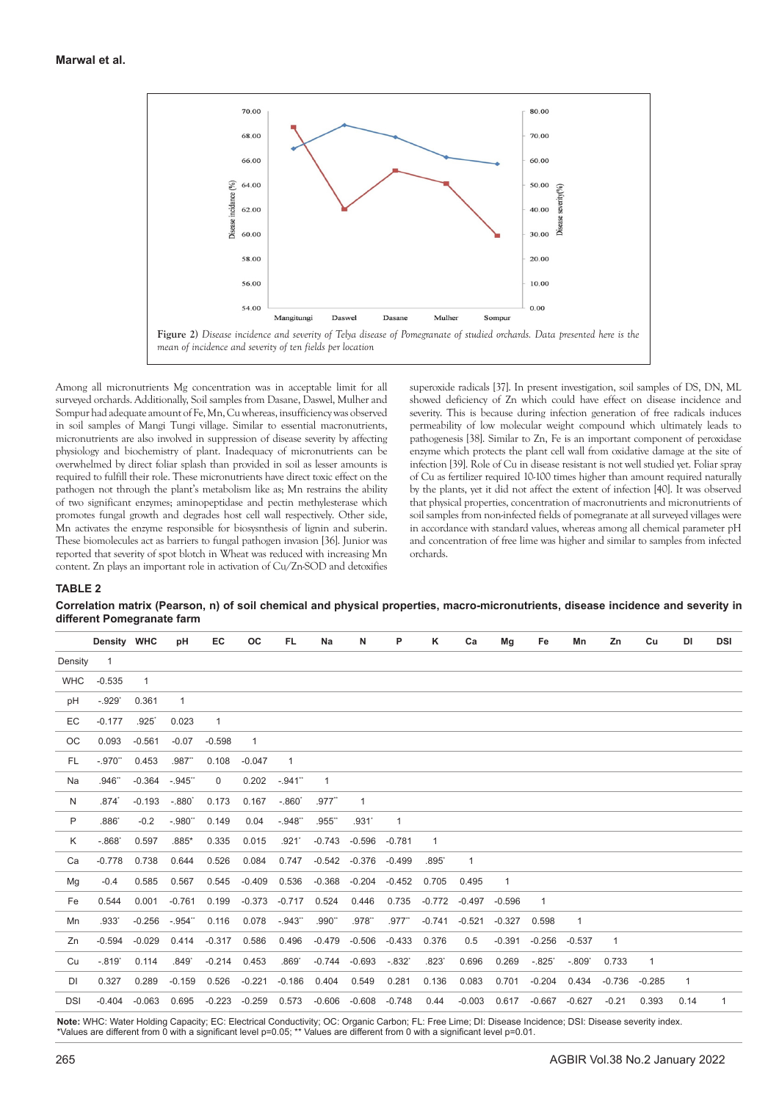

Among all micronutrients Mg concentration was in acceptable limit for all surveyed orchards. Additionally, Soil samples from Dasane, Daswel, Mulher and Sompur had adequate amount of Fe, Mn, Cu whereas, insufficiency was observed in soil samples of Mangi Tungi village. Similar to essential macronutrients, micronutrients are also involved in suppression of disease severity by affecting physiology and biochemistry of plant. Inadequacy of micronutrients can be overwhelmed by direct foliar splash than provided in soil as lesser amounts is required to fulfill their role. These micronutrients have direct toxic effect on the pathogen not through the plant's metabolism like as; Mn restrains the ability of two significant enzymes; aminopeptidase and pectin methylesterase which promotes fungal growth and degrades host cell wall respectively. Other side, Mn activates the enzyme responsible for biosysnthesis of lignin and suberin. These biomolecules act as barriers to fungal pathogen invasion [36]. Junior was reported that severity of spot blotch in Wheat was reduced with increasing Mn content. Zn plays an important role in activation of Cu/Zn-SOD and detoxifies

superoxide radicals [37]. In present investigation, soil samples of DS, DN, ML showed deficiency of Zn which could have effect on disease incidence and severity. This is because during infection generation of free radicals induces permeability of low molecular weight compound which ultimately leads to pathogenesis [38]. Similar to Zn, Fe is an important component of peroxidase enzyme which protects the plant cell wall from oxidative damage at the site of infection [39]. Role of Cu in disease resistant is not well studied yet. Foliar spray of Cu as fertilizer required 10-100 times higher than amount required naturally by the plants, yet it did not affect the extent of infection [40]. It was observed that physical properties, concentration of macronutrients and micronutrients of soil samples from non-infected fields of pomegranate at all surveyed villages were in accordance with standard values, whereas among all chemical parameter pH and concentration of free lime was higher and similar to samples from infected orchards.

## **TABLE 2**

**Correlation matrix (Pearson, n) of soil chemical and physical properties, macro-micronutrients, disease incidence and severity in different Pomegranate farm**

|            | Density WHC         |                     | pH           | EC           | OС           | FL.          | Na           | N            | P            | κ              | Ca           | Mg       | Fe       | Mn           | Zn       | Cu       | DI           | <b>DSI</b> |
|------------|---------------------|---------------------|--------------|--------------|--------------|--------------|--------------|--------------|--------------|----------------|--------------|----------|----------|--------------|----------|----------|--------------|------------|
| Density    | $\overline{1}$      |                     |              |              |              |              |              |              |              |                |              |          |          |              |          |          |              |            |
| <b>WHC</b> | $-0.535$            | $\mathbf{1}$        |              |              |              |              |              |              |              |                |              |          |          |              |          |          |              |            |
| pH         | $-.929"$            | 0.361               | $\mathbf{1}$ |              |              |              |              |              |              |                |              |          |          |              |          |          |              |            |
| EC         | $-0.177$            | $.925$ <sup>*</sup> | 0.023        | $\mathbf{1}$ |              |              |              |              |              |                |              |          |          |              |          |          |              |            |
| OC         | 0.093               | $-0.561$            | $-0.07$      | $-0.598$     | $\mathbf{1}$ |              |              |              |              |                |              |          |          |              |          |          |              |            |
| FL.        | $-.970"$            | 0.453               | .987"        | 0.108        | $-0.047$     | $\mathbf{1}$ |              |              |              |                |              |          |          |              |          |          |              |            |
| Na         | .946"               | $-0.364$            | $-.945$ "    | $\mathbf 0$  | 0.202        | $-.941"$     | $\mathbf{1}$ |              |              |                |              |          |          |              |          |          |              |            |
| N          | $.874$ <sup>*</sup> | $-0.193$            | $-.880'$     | 0.173        | 0.167        | $-.860'$     | $.977$ "     | $\mathbf{1}$ |              |                |              |          |          |              |          |          |              |            |
| P          | $.886$ <sup>*</sup> | $-0.2$              | $-.980"$     | 0.149        | 0.04         | $-.948"$     | .955**       | .931'        | $\mathbf{1}$ |                |              |          |          |              |          |          |              |            |
| Κ          | $-.868"$            | 0.597               | $.885*$      | 0.335        | 0.015        | .921'        | $-0.743$     | $-0.596$     | $-0.781$     | $\mathbf{1}$   |              |          |          |              |          |          |              |            |
| Ca         | $-0.778$            | 0.738               | 0.644        | 0.526        | 0.084        | 0.747        | $-0.542$     | $-0.376$     | $-0.499$     | $.895^{\circ}$ | $\mathbf{1}$ |          |          |              |          |          |              |            |
| Mg         | $-0.4$              | 0.585               | 0.567        | 0.545        | $-0.409$     | 0.536        | $-0.368$     | $-0.204$     | $-0.452$     | 0.705          | 0.495        | 1        |          |              |          |          |              |            |
| Fe         | 0.544               | 0.001               | $-0.761$     | 0.199        | $-0.373$     | $-0.717$     | 0.524        | 0.446        | 0.735        | $-0.772$       | $-0.497$     | $-0.596$ | 1        |              |          |          |              |            |
| Mn         | .933*               | $-0.256$            | $-.954"$     | 0.116        | 0.078        | $-.943"$     | .990"        | .978"        | $.977$ "     | $-0.741$       | $-0.521$     | $-0.327$ | 0.598    | $\mathbf{1}$ |          |          |              |            |
| Zn         | $-0.594$            | $-0.029$            | 0.414        | $-0.317$     | 0.586        | 0.496        | $-0.479$     | $-0.506$     | $-0.433$     | 0.376          | 0.5          | $-0.391$ | $-0.256$ | $-0.537$     | 1        |          |              |            |
| Cu         | $-.819"$            | 0.114               | .849'        | $-0.214$     | 0.453        | .869'        | $-0.744$     | $-0.693$     | $-.832"$     | .823'          | 0.696        | 0.269    | $-.825'$ | $-.809'$     | 0.733    | 1        |              |            |
| DI         | 0.327               | 0.289               | $-0.159$     | 0.526        | $-0.221$     | $-0.186$     | 0.404        | 0.549        | 0.281        | 0.136          | 0.083        | 0.701    | $-0.204$ | 0.434        | $-0.736$ | $-0.285$ | $\mathbf{1}$ |            |
| <b>DSI</b> | $-0.404$            | $-0.063$            | 0.695        | $-0.223$     | $-0.259$     | 0.573        | $-0.606$     | $-0.608$     | $-0.748$     | 0.44           | $-0.003$     | 0.617    | $-0.667$ | $-0.627$     | $-0.21$  | 0.393    | 0.14         | 1          |
|            |                     |                     |              |              |              |              |              |              |              |                |              |          |          |              |          |          |              |            |

**Note:** WHC: Water Holding Capacity; EC: Electrical Conductivity; OC: Organic Carbon; FL: Free Lime; DI: Disease Incidence; DSI: Disease severity index. \*Values are different from 0 with a significant level p=0.05; \*\* Values are different from 0 with a significant level p=0.01.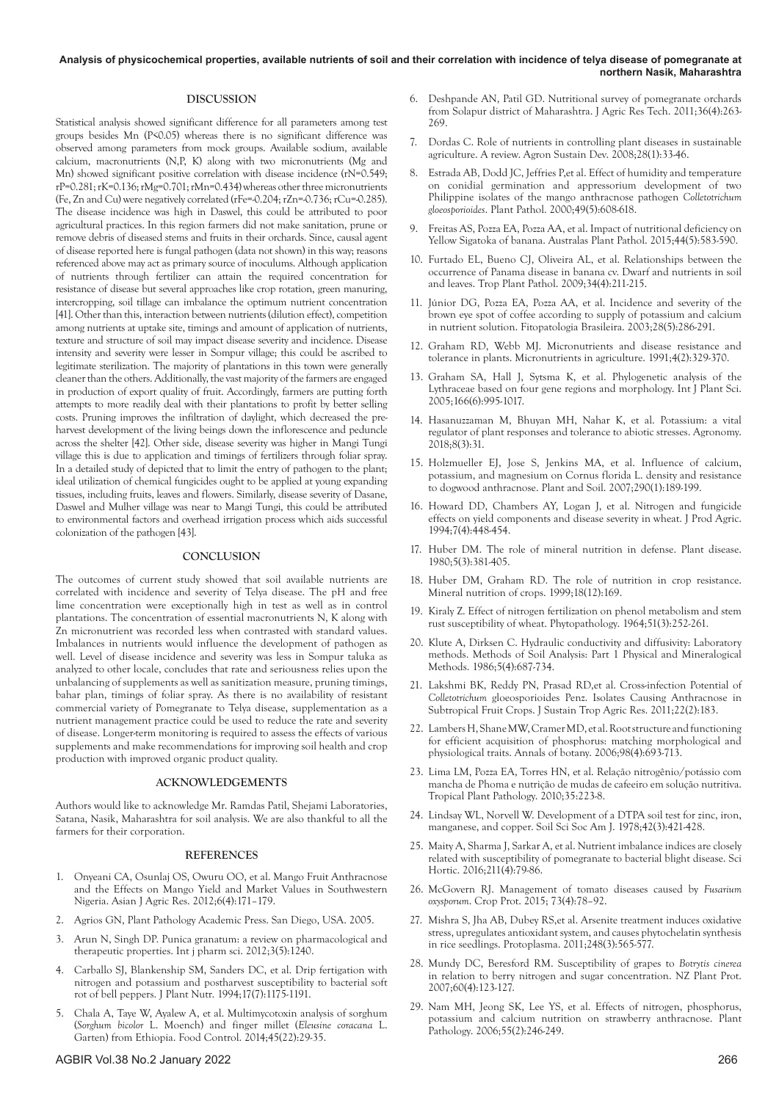## **Analysis of physicochemical properties, available nutrients of soil and their correlation with incidence of telya disease of pomegranate at northern Nasik, Maharashtra**

## **DISCUSSION**

Statistical analysis showed significant difference for all parameters among test groups besides Mn (P<0.05) whereas there is no significant difference was observed among parameters from mock groups. Available sodium, available calcium, macronutrients (N,P, K) along with two micronutrients (Mg and Mn) showed significant positive correlation with disease incidence (rN=0.549; rP=0.281; rK=0.136; rMg=0.701; rMn=0.434) whereas other three micronutrients (Fe, Zn and Cu) were negatively correlated (rFe=-0.204; rZn=-0.736; rCu=-0.285). The disease incidence was high in Daswel, this could be attributed to poor agricultural practices. In this region farmers did not make sanitation, prune or remove debris of diseased stems and fruits in their orchards. Since, causal agent of disease reported here is fungal pathogen (data not shown) in this way; reasons referenced above may act as primary source of inoculums. Although application of nutrients through fertilizer can attain the required concentration for resistance of disease but several approaches like crop rotation, green manuring, intercropping, soil tillage can imbalance the optimum nutrient concentration [41]. Other than this, interaction between nutrients (dilution effect), competition among nutrients at uptake site, timings and amount of application of nutrients, texture and structure of soil may impact disease severity and incidence. Disease intensity and severity were lesser in Sompur village; this could be ascribed to legitimate sterilization. The majority of plantations in this town were generally cleaner than the others. Additionally, the vast majority of the farmers are engaged in production of export quality of fruit. Accordingly, farmers are putting forth attempts to more readily deal with their plantations to profit by better selling costs. Pruning improves the infiltration of daylight, which decreased the preharvest development of the living beings down the inflorescence and peduncle across the shelter [42]. Other side, disease severity was higher in Mangi Tungi village this is due to application and timings of fertilizers through foliar spray. In a detailed study of depicted that to limit the entry of pathogen to the plant; ideal utilization of chemical fungicides ought to be applied at young expanding tissues, including fruits, leaves and flowers. Similarly, disease severity of Dasane, Daswel and Mulher village was near to Mangi Tungi, this could be attributed to environmental factors and overhead irrigation process which aids successful colonization of the pathogen [43].

#### **CONCLUSION**

The outcomes of current study showed that soil available nutrients are correlated with incidence and severity of Telya disease. The pH and free lime concentration were exceptionally high in test as well as in control plantations. The concentration of essential macronutrients N, K along with Zn micronutrient was recorded less when contrasted with standard values. Imbalances in nutrients would influence the development of pathogen as well. Level of disease incidence and severity was less in Sompur taluka as analyzed to other locale, concludes that rate and seriousness relies upon the unbalancing of supplements as well as sanitization measure, pruning timings, bahar plan, timings of foliar spray. As there is no availability of resistant commercial variety of Pomegranate to Telya disease, supplementation as a nutrient management practice could be used to reduce the rate and severity of disease. Longer-term monitoring is required to assess the effects of various supplements and make recommendations for improving soil health and crop production with improved organic product quality.

## **ACKNOWLEDGEMENTS**

Authors would like to acknowledge Mr. Ramdas Patil, Shejami Laboratories, Satana, Nasik, Maharashtra for soil analysis. We are also thankful to all the farmers for their corporation.

#### **REFERENCES**

- 1. Onyeani CA, Osunlaj OS, Owuru OO, et al. [Mango Fruit Anthracnose](https://www.semanticscholar.org/paper/Mango-Fruit-Anthracnose-and-the-Effects-on-Mango-in-Onyeani-Osunlaj/dfb9ba0e88cd86a0d9916c31751a3c0a4a5827f6) [and the Effects on Mango Yield and Market Values in Southwestern](https://www.semanticscholar.org/paper/Mango-Fruit-Anthracnose-and-the-Effects-on-Mango-in-Onyeani-Osunlaj/dfb9ba0e88cd86a0d9916c31751a3c0a4a5827f6) [Nigeria.](https://www.semanticscholar.org/paper/Mango-Fruit-Anthracnose-and-the-Effects-on-Mango-in-Onyeani-Osunlaj/dfb9ba0e88cd86a0d9916c31751a3c0a4a5827f6) Asian J Agric Res. 2012;6(4):171–179.
- 2. Agrios GN, Plant Pathology Academic Press. San Diego, USA. 2005.
- 3. Arun N, Singh DP. [Punica granatum: a review on pharmacological and](https://citeseerx.ist.psu.edu/viewdoc/download?doi=10.1.1.278.5803&rep=rep1&type=pdf) [therapeutic properties.](https://citeseerx.ist.psu.edu/viewdoc/download?doi=10.1.1.278.5803&rep=rep1&type=pdf) Int j pharm sci. 2012;3(5):1240.
- 4. Carballo SJ, Blankenship SM, Sanders DC, et al. [Drip fertigation with](https://www.tandfonline.com/doi/abs/10.1080/01904169409364797) [nitrogen and potassium and postharvest susceptibility to bacterial soft](https://www.tandfonline.com/doi/abs/10.1080/01904169409364797) [rot of bell peppers.](https://www.tandfonline.com/doi/abs/10.1080/01904169409364797) J Plant Nutr. 1994;17(7):1175-1191.
- 5. Chala A, Taye W, Ayalew A, et al. [Multimycotoxin analysis of sorghum](https://www.sciencedirect.com/science/article/abs/pii/S0956713514002138) (*Sorghum bicolor* [L. Moench\) and finger millet \(](https://www.sciencedirect.com/science/article/abs/pii/S0956713514002138)*Eleusine coracana* L. [Garten\) from Ethiopia.](https://www.sciencedirect.com/science/article/abs/pii/S0956713514002138) Food Control. 2014;45(22):29-35.
- 6. Deshpande AN, Patil GD. [Nutritional survey of pomegranate orchards](https://www.jart.co.in/uploads/168/6342_pdf.pdf#page=87)  [from Solapur district of Maharashtra.](https://www.jart.co.in/uploads/168/6342_pdf.pdf#page=87) J Agric Res Tech. 2011;36(4):263- 269.
- 7. Dordas C. [Role of nutrients in controlling plant diseases in sustainable](https://link.springer.com/article/10.1051/agro:2007051)  [agriculture. A review.](https://link.springer.com/article/10.1051/agro:2007051) Agron Sustain Dev. 2008;28(1):33-46.
- 8. Estrada AB, Dodd JC, Jeffries P,et al. [Effect of humidity and temperature](https://bsppjournals.onlinelibrary.wiley.com/doi/full/10.1046/j.1365-3059.2000.00492.x)  [on conidial germination and appressorium development of two](https://bsppjournals.onlinelibrary.wiley.com/doi/full/10.1046/j.1365-3059.2000.00492.x)  [Philippine isolates of the mango anthracnose pathogen](https://bsppjournals.onlinelibrary.wiley.com/doi/full/10.1046/j.1365-3059.2000.00492.x) *Colletotrichum [gloeosporioides](https://bsppjournals.onlinelibrary.wiley.com/doi/full/10.1046/j.1365-3059.2000.00492.x)*. Plant Pathol. 2000;49(5):608-618.
- 9. Freitas AS, Pozza EA, Pozza AA, et al[. Impact of nutritional deficiency on](https://link.springer.com/article/10.1007/s13313-015-0371-6)  [Yellow Sigatoka of banana.](https://link.springer.com/article/10.1007/s13313-015-0371-6) Australas Plant Pathol. 2015;44(5):583-590.
- 10. Furtado EL, Bueno CJ, Oliveira AL, et al. [Relationships between the](https://www.scielo.br/j/tpp/a/RqX8Yr48zvCL3cTcjRhrGCF/abstract/?lang=pt)  [occurrence of Panama disease in banana cv. Dwarf and nutrients in soil](https://www.scielo.br/j/tpp/a/RqX8Yr48zvCL3cTcjRhrGCF/abstract/?lang=pt)  [and leaves.](https://www.scielo.br/j/tpp/a/RqX8Yr48zvCL3cTcjRhrGCF/abstract/?lang=pt) Trop Plant Pathol. 2009;34(4):211-215.
- 11. Júnior DG, Pozza EA, Pozza AA, et al. [Incidence and severity of the](https://www.scielo.br/j/fb/a/5MJTjL7pXrgDkjgpmWfSzgH/abstract/?lang=en&format=html)  [brown eye spot of coffee according to supply of potassium and calcium](https://www.scielo.br/j/fb/a/5MJTjL7pXrgDkjgpmWfSzgH/abstract/?lang=en&format=html)  [in nutrient solution.](https://www.scielo.br/j/fb/a/5MJTjL7pXrgDkjgpmWfSzgH/abstract/?lang=en&format=html) Fitopatologia Brasileira. 2003;28(5):286-291.
- 12. Graham RD, Webb MJ. [Micronutrients and disease resistance and](https://acsess.onlinelibrary.wiley.com/doi/abs/10.2136/sssabookser4.2ed.c10)  [tolerance in plants.](https://acsess.onlinelibrary.wiley.com/doi/abs/10.2136/sssabookser4.2ed.c10) Micronutrients in agriculture. 1991;4(2):329-370.
- 13. Graham SA, Hall J, Sytsma K, et al. [Phylogenetic analysis of the](https://www.journals.uchicago.edu/doi/abs/10.1086/432631)  [Lythraceae based on four gene regions and morphology. I](https://www.journals.uchicago.edu/doi/abs/10.1086/432631)nt J Plant Sci. 2005;166(6):995-1017.
- 14. Hasanuzzaman M, Bhuyan MH, Nahar K, et al. [Potassium: a vital](https://www.mdpi.com/2073-4395/8/3/31)  [regulator of plant responses and tolerance to abiotic stresses.](https://www.mdpi.com/2073-4395/8/3/31) Agronomy. 2018;8(3):31.
- 15. Holzmueller EJ, Jose S, Jenkins MA, et al. [Influence of calcium,](https://link.springer.com/article/10.1007/s11104-006-9151-y)  [potassium, and magnesium on Cornus florida L. density and resistance](https://link.springer.com/article/10.1007/s11104-006-9151-y)  [to dogwood anthracnose. P](https://link.springer.com/article/10.1007/s11104-006-9151-y)lant and Soil. 2007;290(1):189-199.
- 16. Howard DD, Chambers AY, Logan J, et al. [Nitrogen and fungicide](https://acsess.onlinelibrary.wiley.com/doi/abs/10.2134/jpa1994.0448)  [effects on yield components and disease severity in wheat.](https://acsess.onlinelibrary.wiley.com/doi/abs/10.2134/jpa1994.0448) J Prod Agric. 1994;7(4):448-454.
- 17. Huber DM. [The role of mineral nutrition in defense. P](https://books.google.co.in/books?hl=en&lr=&id=OQf3Jj_ubWoC&oi=fnd&pg=PA381&dq=17.%09Huber,+D.M.+(1980).+The+role+of+mineral+nutrition+in+defense.+In:+Harsfall+JG,+Cowling+EB+(ed)+Plant+disease,+an+advanced+treatise+how+plants+defend+themselves,+Academic+Press,+New+York,+pp+381%E2%80%93406.+&ots=kexgzdkyty&sig=GSctjvzMSwh1Q6hJ29UEHleOp4Q&redir_esc=y#v=onepage&q&f=false)lant disease. 1980;5(3):381-405.
- 18. Huber DM, Graham RD. [The role of nutrition in crop resistance.](https://books.google.co.in/books?hl=en&lr=&id=WeR23VTJE64C&oi=fnd&pg=PA169&dq=18.%09Huber,+D.M.,+%26+Graham,+R.D.+(1999).+The+role+of+nutrition+in+crop+resistance+and+tolerance+to+disease,+In:+Rengel+Z+(ed)+Mineral+nutrition+of+crops+fundamental+mechanisms+and+implications.+Food+Product+Press,+New+York,+pp+205%E2%80%93226.+&ots=M18Bb6xXCd&sig=1c6PLMmzfmQjoxztjINl7QNne4w&redir_esc=y#v=onepage&q&f=false) Mineral nutrition of crops. 1999;18(12):169.
- 19. Kiraly Z. [Effect of nitrogen fertilization on phenol metabolism and stem](https://onlinelibrary.wiley.com/doi/abs/10.1111/j.1439-0434.1964.tb03432.x)  [rust susceptibility of wheat.](https://onlinelibrary.wiley.com/doi/abs/10.1111/j.1439-0434.1964.tb03432.x) Phytopathology. 1964;51(3):252-261.
- 20. Klute A, Dirksen C. [Hydraulic conductivity and diffusivity: Laboratory](https://acsess.onlinelibrary.wiley.com/doi/abs/10.2136/sssabookser5.1.2ed.c28)  [methods.](https://acsess.onlinelibrary.wiley.com/doi/abs/10.2136/sssabookser5.1.2ed.c28) Methods of Soil Analysis: Part 1 Physical and Mineralogical Methods. 1986;5(4):687-734.
- 21. Lakshmi BK, Reddy PN, Prasad RD,et al. [Cross-infection Potential of](http://192.248.43.153/bitstream/1/2223/2/PGIATAR-22%282%29-183.pdf)  *Colletotrichum* [gloeosporioides Penz. Isolates Causing Anthracnose in](http://192.248.43.153/bitstream/1/2223/2/PGIATAR-22%282%29-183.pdf)  [Subtropical Fruit Crops.](http://192.248.43.153/bitstream/1/2223/2/PGIATAR-22%282%29-183.pdf) J Sustain Trop Agric Res. 2011;22(2):183.
- 22. Lambers H, Shane MW, Cramer MD, et al. [Root structure and functioning](https://academic.oup.com/aob/article/98/4/693/145807?login=true)  [for efficient acquisition of phosphorus: matching morphological and](https://academic.oup.com/aob/article/98/4/693/145807?login=true)  [physiological traits.](https://academic.oup.com/aob/article/98/4/693/145807?login=true) Annals of botany. 2006;98(4):693-713.
- 23. Lima LM, Pozza EA, Torres HN, et al. [Relação nitrogênio/potássio com](https://www.scielo.br/j/tpp/a/MN93B4b6nDDhmr666zG4JFc/?lang=pt&format=html)  [mancha de Phoma e nutrição de mudas de cafeeiro em solução nutritiva.](https://www.scielo.br/j/tpp/a/MN93B4b6nDDhmr666zG4JFc/?lang=pt&format=html)  Tropical Plant Pathology. 2010;35:223-8.
- 24. Lindsay WL, Norvell W. [Development of a DTPA soil test for zinc, iron,](https://acsess.onlinelibrary.wiley.com/doi/abs/10.2136/sssaj1978.03615995004200030009x)  [manganese, and copper.](https://acsess.onlinelibrary.wiley.com/doi/abs/10.2136/sssaj1978.03615995004200030009x) Soil Sci Soc Am J. 1978;42(3):421-428.
- 25. Maity A, Sharma J, Sarkar A, et al. [Nutrient imbalance indices are closely](https://www.sciencedirect.com/science/article/abs/pii/S0304423816304071)  [related with susceptibility of pomegranate to bacterial blight disease.](https://www.sciencedirect.com/science/article/abs/pii/S0304423816304071) Sci Hortic. 2016;211(4):79-86.
- 26. McGovern RJ. [Management of tomato diseases caused by](https://www.sciencedirect.com/science/article/abs/pii/S026121941500071X) *Fusarium [oxysporum](https://www.sciencedirect.com/science/article/abs/pii/S026121941500071X)*. Crop Prot. 2015; 73(4):78–92.
- 27. Mishra S, Jha AB, Dubey RS,et al. [Arsenite treatment induces oxidative](https://link.springer.com/article/10.1007/s00709-010-0210-0)  [stress, upregulates antioxidant system, and causes phytochelatin synthesis](https://link.springer.com/article/10.1007/s00709-010-0210-0)  [in rice seedlings. P](https://link.springer.com/article/10.1007/s00709-010-0210-0)rotoplasma. 2011;248(3):565-577.
- 28. Mundy DC, Beresford RM. [Susceptibility of grapes to](https://www.journal.nzpps.org/index.php/nzpp/article/view/4636) *Botrytis cinerea*  [in relation to berry nitrogen and sugar concentration.](https://www.journal.nzpps.org/index.php/nzpp/article/view/4636) NZ Plant Prot. 2007;60(4):123-127.
- 29. Nam MH, Jeong SK, Lee YS, et al. [Effects of nitrogen, phosphorus,](https://bsppjournals.onlinelibrary.wiley.com/doi/full/10.1111/j.1365-3059.2006.01322.x)  [potassium and calcium nutrition on strawberry anthracnose.](https://bsppjournals.onlinelibrary.wiley.com/doi/full/10.1111/j.1365-3059.2006.01322.x) Plant Pathology. 2006;55(2):246-249.